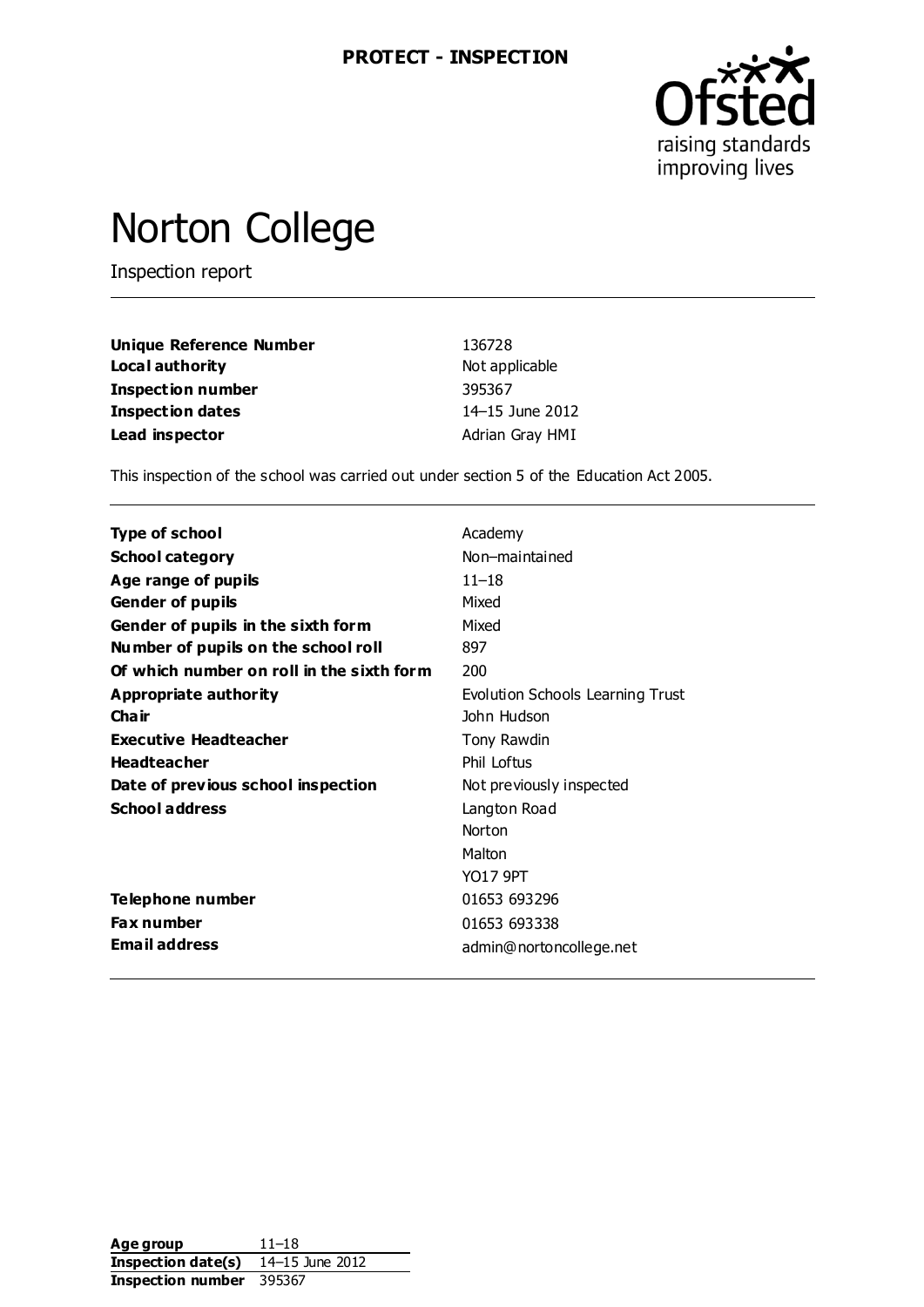

## Norton College

Inspection report

| <b>Unique Reference Number</b> | 136728          |
|--------------------------------|-----------------|
| Local authority                | Not applicable  |
| <b>Inspection number</b>       | 395367          |
| <b>Inspection dates</b>        | 14–15 June 2012 |
| Lead inspector                 | Adrian Gray HMI |

This inspection of the school was carried out under section 5 of the Education Act 2005.

| <b>Type of school</b>                     | Academy                          |
|-------------------------------------------|----------------------------------|
| <b>School category</b>                    | Non-maintained                   |
| Age range of pupils                       | $11 - 18$                        |
| <b>Gender of pupils</b>                   | Mixed                            |
| Gender of pupils in the sixth form        | Mixed                            |
| Number of pupils on the school roll       | 897                              |
| Of which number on roll in the sixth form | 200                              |
| Appropriate authority                     | Evolution Schools Learning Trust |
| Cha ir                                    | John Hudson                      |
| Executive Headteacher                     | Tony Rawdin                      |
| <b>Headteacher</b>                        | Phil Loftus                      |
| Date of previous school inspection        | Not previously inspected         |
| <b>School address</b>                     | Langton Road                     |
|                                           | Norton                           |
|                                           | Malton                           |
|                                           | <b>YO17 9PT</b>                  |
| Telephone number                          | 01653 693296                     |
| <b>Fax number</b>                         | 01653 693338                     |
| <b>Email address</b>                      | admin@nortoncollege.net          |

| Age group          | $11 - 18$       |
|--------------------|-----------------|
| Inspection date(s) | 14-15 June 2012 |
| Inspection number  | 395367          |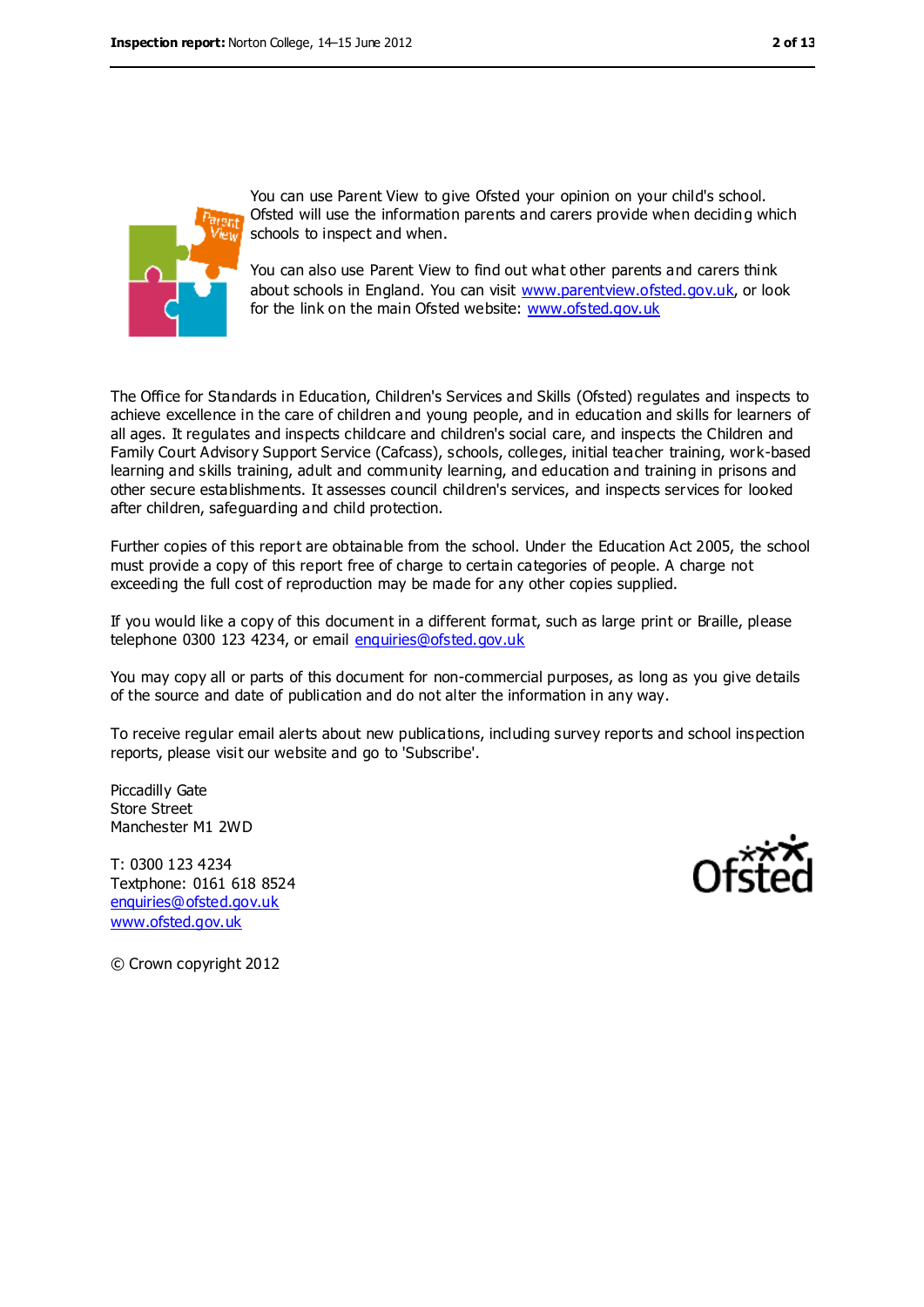

You can use Parent View to give Ofsted your opinion on your child's school. Ofsted will use the information parents and carers provide when deciding which schools to inspect and when.

You can also use Parent View to find out what other parents and carers think about schools in England. You can visit [www.parentview.ofsted.gov.uk,](file:///C:/Users/agray/AppData/Local/Microsoft/Windows/Temporary%20Internet%20Files/Content.IE5/BMA2W0DI/www.parentview.ofsted.gov.uk) or look for the link on the main Ofsted website: [www.ofsted.gov.uk](file:///C:/Users/agray/AppData/Local/Microsoft/Windows/Temporary%20Internet%20Files/Content.IE5/BMA2W0DI/www.ofsted.gov.uk)

The Office for Standards in Education, Children's Services and Skills (Ofsted) regulates and inspects to achieve excellence in the care of children and young people, and in education and skills for learners of all ages. It regulates and inspects childcare and children's social care, and inspects the Children and Family Court Advisory Support Service (Cafcass), schools, colleges, initial teacher training, work-based learning and skills training, adult and community learning, and education and training in prisons and other secure establishments. It assesses council children's services, and inspects services for looked after children, safeguarding and child protection.

Further copies of this report are obtainable from the school. Under the Education Act 2005, the school must provide a copy of this report free of charge to certain categories of people. A charge not exceeding the full cost of reproduction may be made for any other copies supplied.

If you would like a copy of this document in a different format, such as large print or Braille, please telephone 0300 123 4234, or email [enquiries@ofsted.gov.uk](mailto:enquiries@ofsted.gov.uk)

You may copy all or parts of this document for non-commercial purposes, as long as you give details of the source and date of publication and do not alter the information in any way.

To receive regular email alerts about new publications, including survey reports and school inspection reports, please visit our website and go to 'Subscribe'.

Piccadilly Gate Store Street Manchester M1 2WD

T: 0300 123 4234 Textphone: 0161 618 8524 [enquiries@ofsted.gov.uk](mailto:enquiries@ofsted.gov.uk) [www.ofsted.gov.uk](http://www.ofsted.gov.uk/)



© Crown copyright 2012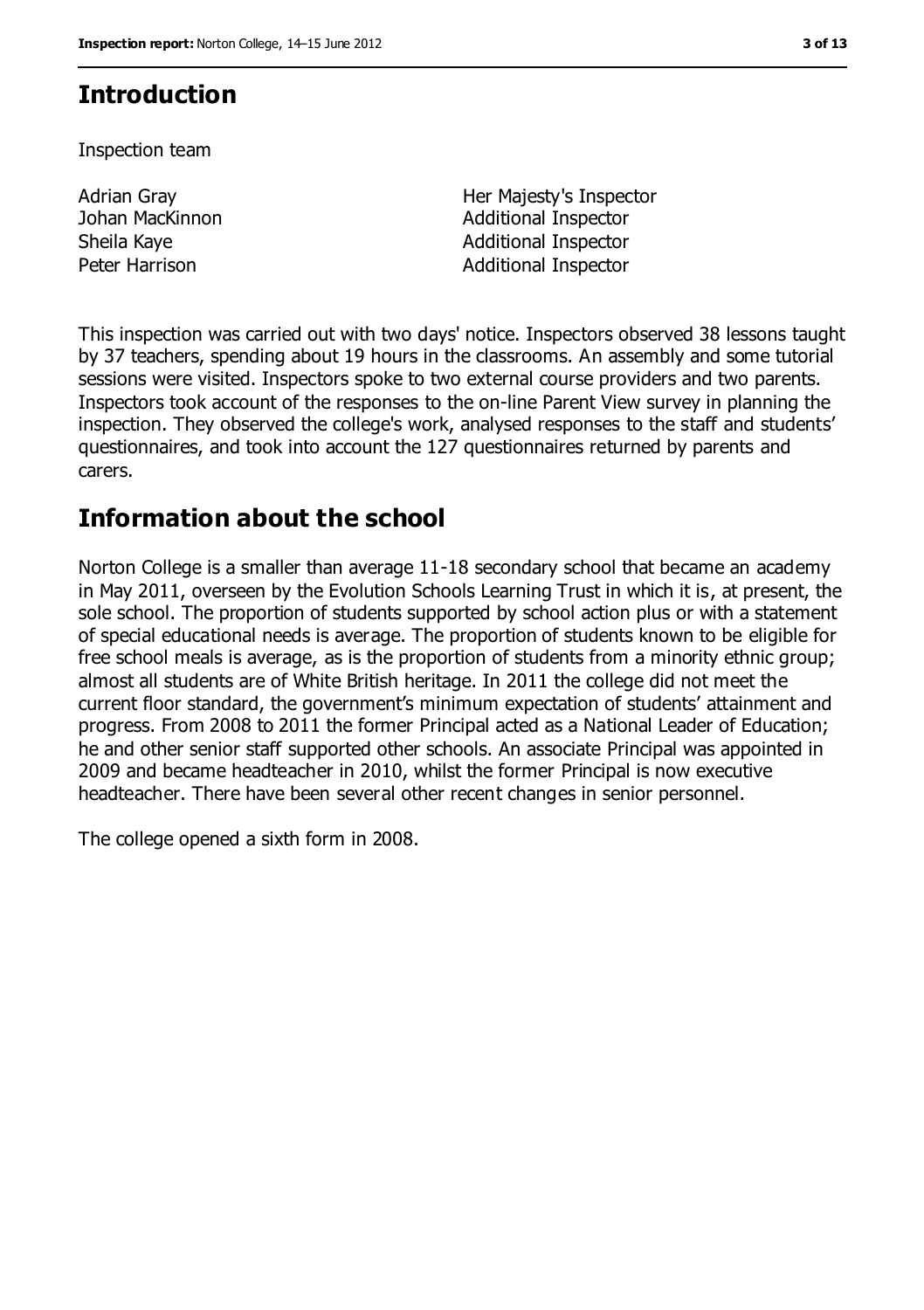## **Introduction**

Inspection team

Adrian Gray Johan MacKinnon

Her Majesty's Inspector Additional Inspector Sheila Kaye **Additional Inspector Additional Inspector** Peter Harrison **Additional Inspector** 

This inspection was carried out with two days' notice. Inspectors observed 38 lessons taught by 37 teachers, spending about 19 hours in the classrooms. An assembly and some tutorial sessions were visited. Inspectors spoke to two external course providers and two parents. Inspectors took account of the responses to the on-line Parent View survey in planning the inspection. They observed the college's work, analysed responses to the staff and students' questionnaires, and took into account the 127 questionnaires returned by parents and carers.

## **Information about the school**

Norton College is a smaller than average 11-18 secondary school that became an academy in May 2011, overseen by the Evolution Schools Learning Trust in which it is, at present, the sole school. The proportion of students supported by school action plus or with a statement of special educational needs is average. The proportion of students known to be eligible for free school meals is average, as is the proportion of students from a minority ethnic group; almost all students are of White British heritage. In 2011 the college did not meet the current floor standard, the government's minimum expectation of students' attainment and progress. From 2008 to 2011 the former Principal acted as a National Leader of Education; he and other senior staff supported other schools. An associate Principal was appointed in 2009 and became headteacher in 2010, whilst the former Principal is now executive headteacher. There have been several other recent changes in senior personnel.

The college opened a sixth form in 2008.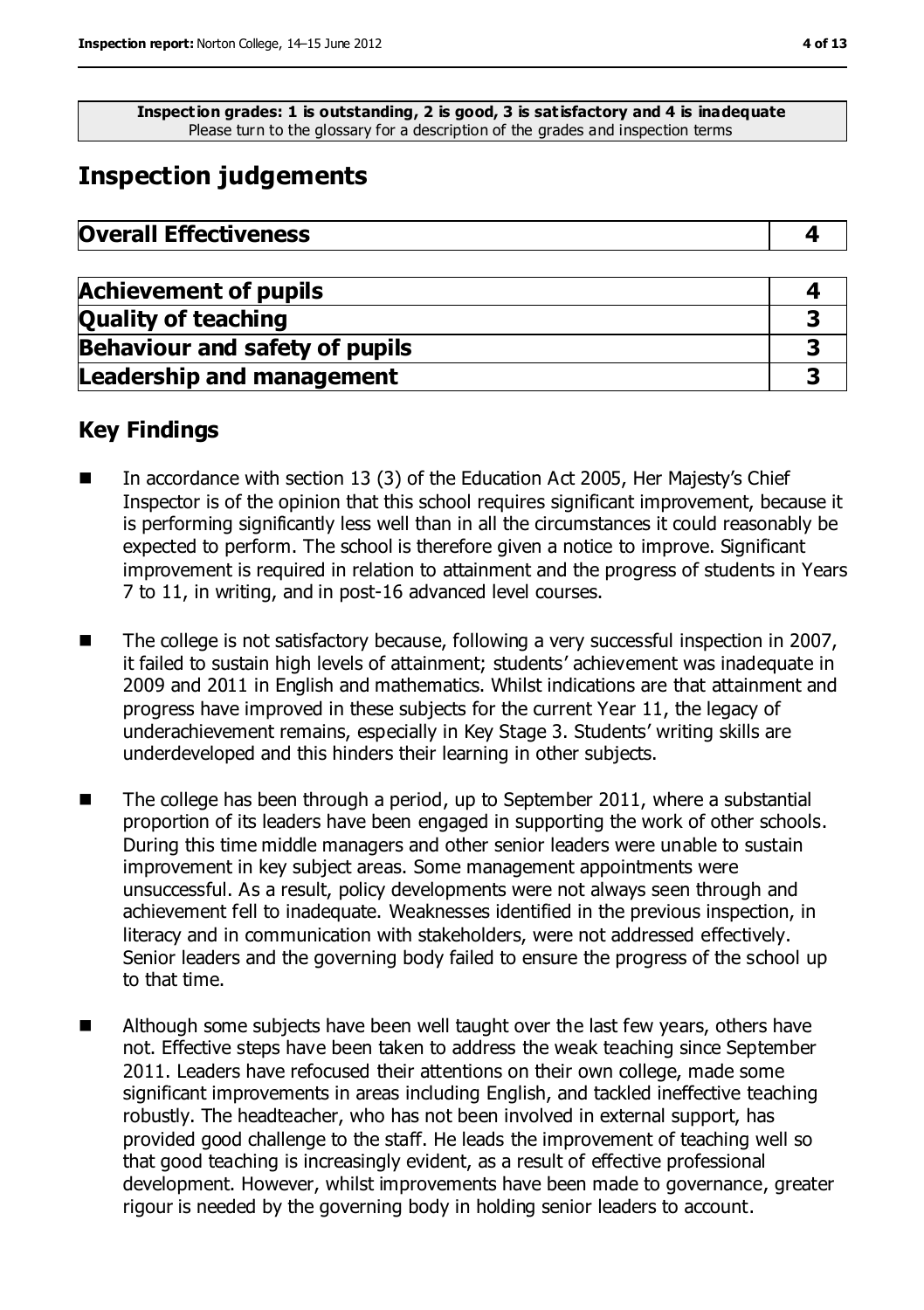**Inspection grades: 1 is outstanding, 2 is good, 3 is satisfactory and 4 is inadequate** Please turn to the glossary for a description of the grades and inspection terms

## **Inspection judgements**

| <b>Overall Effectiveness</b> |
|------------------------------|
|------------------------------|

| <b>Achievement of pupils</b>          |  |
|---------------------------------------|--|
| <b>Quality of teaching</b>            |  |
| <b>Behaviour and safety of pupils</b> |  |
| <b>Leadership and management</b>      |  |

## **Key Findings**

- In accordance with section 13 (3) of the Education Act 2005, Her Majesty's Chief Inspector is of the opinion that this school requires significant improvement, because it is performing significantly less well than in all the circumstances it could reasonably be expected to perform. The school is therefore given a notice to improve. Significant improvement is required in relation to attainment and the progress of students in Years 7 to 11, in writing, and in post-16 advanced level courses.
- The college is not satisfactory because, following a very successful inspection in 2007, it failed to sustain high levels of attainment; students' achievement was inadequate in 2009 and 2011 in English and mathematics. Whilst indications are that attainment and progress have improved in these subjects for the current Year 11, the legacy of underachievement remains, especially in Key Stage 3. Students' writing skills are underdeveloped and this hinders their learning in other subjects.
- $\blacksquare$  The college has been through a period, up to September 2011, where a substantial proportion of its leaders have been engaged in supporting the work of other schools. During this time middle managers and other senior leaders were unable to sustain improvement in key subject areas. Some management appointments were unsuccessful. As a result, policy developments were not always seen through and achievement fell to inadequate. Weaknesses identified in the previous inspection, in literacy and in communication with stakeholders, were not addressed effectively. Senior leaders and the governing body failed to ensure the progress of the school up to that time.
- Although some subjects have been well taught over the last few years, others have not. Effective steps have been taken to address the weak teaching since September 2011. Leaders have refocused their attentions on their own college, made some significant improvements in areas including English, and tackled ineffective teaching robustly. The headteacher, who has not been involved in external support, has provided good challenge to the staff. He leads the improvement of teaching well so that good teaching is increasingly evident, as a result of effective professional development. However, whilst improvements have been made to governance, greater rigour is needed by the governing body in holding senior leaders to account.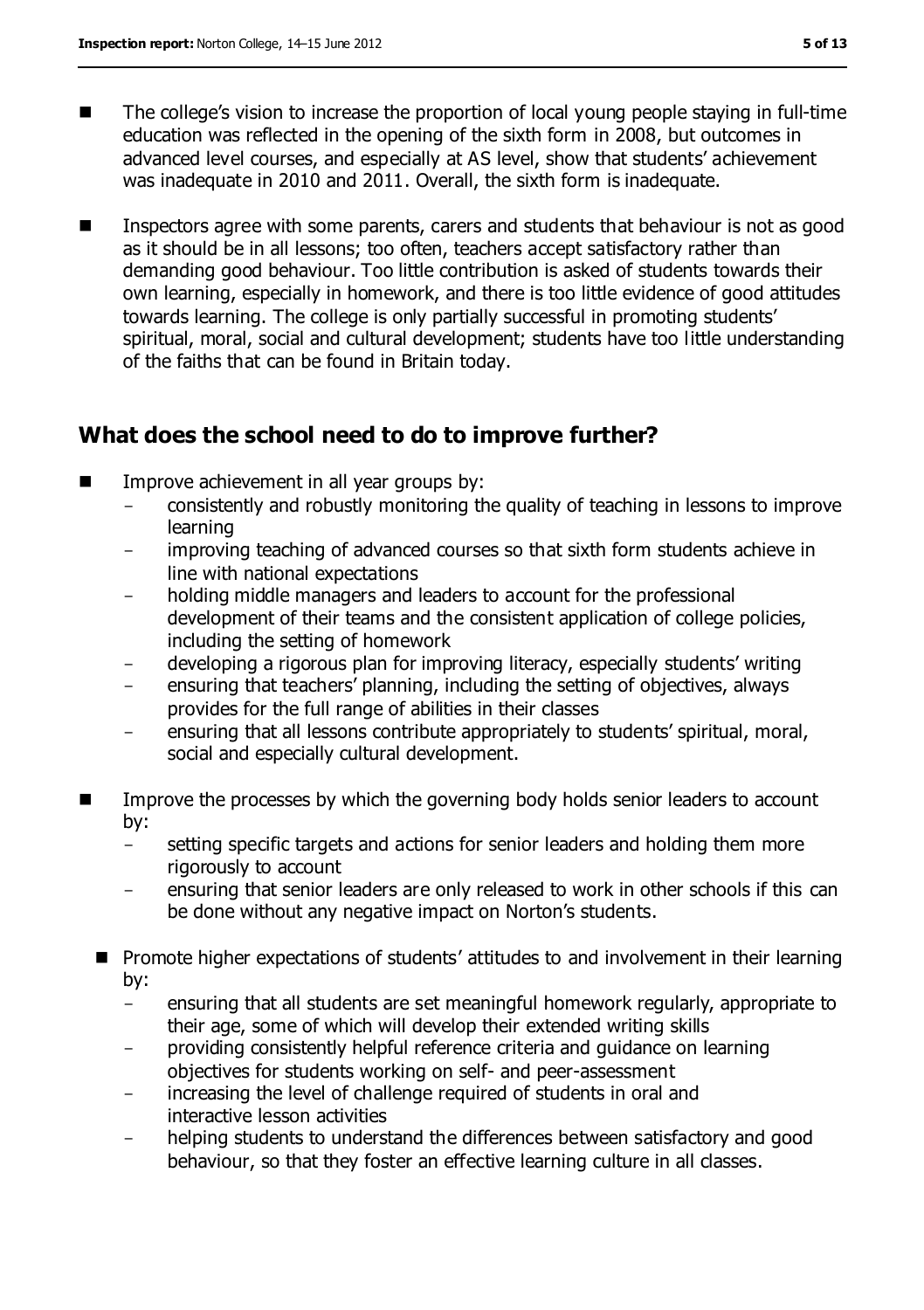- The college's vision to increase the proportion of local young people staying in full-time education was reflected in the opening of the sixth form in 2008, but outcomes in advanced level courses, and especially at AS level, show that students' achievement was inadequate in 2010 and 2011. Overall, the sixth form is inadequate.
- **IFM** Inspectors agree with some parents, carers and students that behaviour is not as good as it should be in all lessons; too often, teachers accept satisfactory rather than demanding good behaviour. Too little contribution is asked of students towards their own learning, especially in homework, and there is too little evidence of good attitudes towards learning. The college is only partially successful in promoting students' spiritual, moral, social and cultural development; students have too little understanding of the faiths that can be found in Britain today.

## **What does the school need to do to improve further?**

- Improve achievement in all year groups by:
	- consistently and robustly monitoring the quality of teaching in lessons to improve learning
	- improving teaching of advanced courses so that sixth form students achieve in line with national expectations
	- holding middle managers and leaders to account for the professional development of their teams and the consistent application of college policies, including the setting of homework
	- developing a rigorous plan for improving literacy, especially students' writing
	- ensuring that teachers' planning, including the setting of objectives, always provides for the full range of abilities in their classes
	- ensuring that all lessons contribute appropriately to students' spiritual, moral, social and especially cultural development.
- Improve the processes by which the governing body holds senior leaders to account by:
	- setting specific targets and actions for senior leaders and holding them more rigorously to account
	- ensuring that senior leaders are only released to work in other schools if this can be done without any negative impact on Norton's students.
	- **Promote higher expectations of students' attitudes to and involvement in their learning** by:
		- ensuring that all students are set meaningful homework regularly, appropriate to their age, some of which will develop their extended writing skills
		- providing consistently helpful reference criteria and guidance on learning objectives for students working on self- and peer-assessment
		- increasing the level of challenge required of students in oral and interactive lesson activities
		- helping students to understand the differences between satisfactory and good behaviour, so that they foster an effective learning culture in all classes.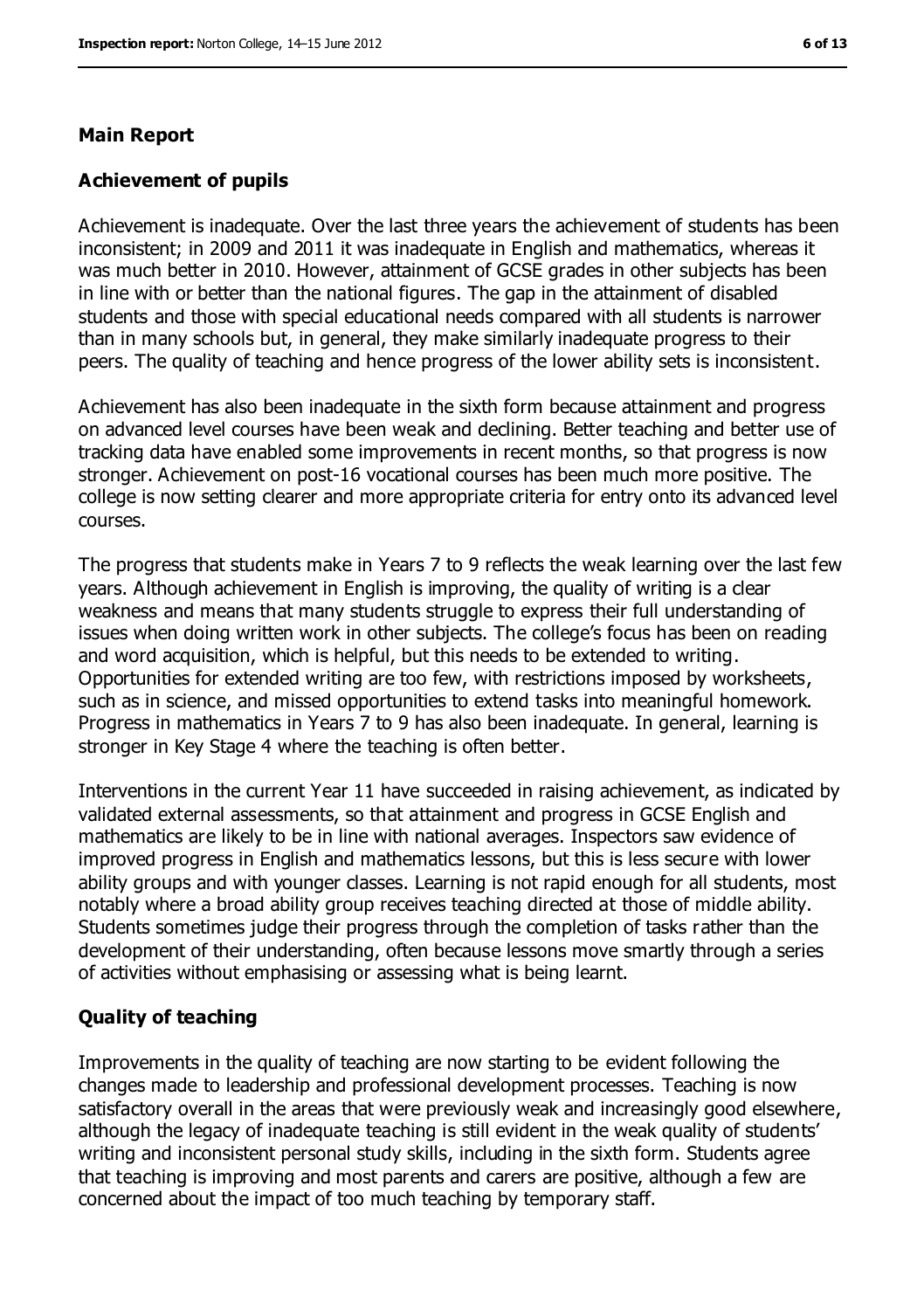#### **Main Report**

#### **Achievement of pupils**

Achievement is inadequate. Over the last three years the achievement of students has been inconsistent; in 2009 and 2011 it was inadequate in English and mathematics, whereas it was much better in 2010. However, attainment of GCSE grades in other subjects has been in line with or better than the national figures. The gap in the attainment of disabled students and those with special educational needs compared with all students is narrower than in many schools but, in general, they make similarly inadequate progress to their peers. The quality of teaching and hence progress of the lower ability sets is inconsistent.

Achievement has also been inadequate in the sixth form because attainment and progress on advanced level courses have been weak and declining. Better teaching and better use of tracking data have enabled some improvements in recent months, so that progress is now stronger. Achievement on post-16 vocational courses has been much more positive. The college is now setting clearer and more appropriate criteria for entry onto its advanced level courses.

The progress that students make in Years 7 to 9 reflects the weak learning over the last few years. Although achievement in English is improving, the quality of writing is a clear weakness and means that many students struggle to express their full understanding of issues when doing written work in other subjects. The college's focus has been on reading and word acquisition, which is helpful, but this needs to be extended to writing. Opportunities for extended writing are too few, with restrictions imposed by worksheets, such as in science, and missed opportunities to extend tasks into meaningful homework. Progress in mathematics in Years 7 to 9 has also been inadequate. In general, learning is stronger in Key Stage 4 where the teaching is often better.

Interventions in the current Year 11 have succeeded in raising achievement, as indicated by validated external assessments, so that attainment and progress in GCSE English and mathematics are likely to be in line with national averages. Inspectors saw evidence of improved progress in English and mathematics lessons, but this is less secure with lower ability groups and with younger classes. Learning is not rapid enough for all students, most notably where a broad ability group receives teaching directed at those of middle ability. Students sometimes judge their progress through the completion of tasks rather than the development of their understanding, often because lessons move smartly through a series of activities without emphasising or assessing what is being learnt.

#### **Quality of teaching**

Improvements in the quality of teaching are now starting to be evident following the changes made to leadership and professional development processes. Teaching is now satisfactory overall in the areas that were previously weak and increasingly good elsewhere, although the legacy of inadequate teaching is still evident in the weak quality of students' writing and inconsistent personal study skills, including in the sixth form. Students agree that teaching is improving and most parents and carers are positive, although a few are concerned about the impact of too much teaching by temporary staff.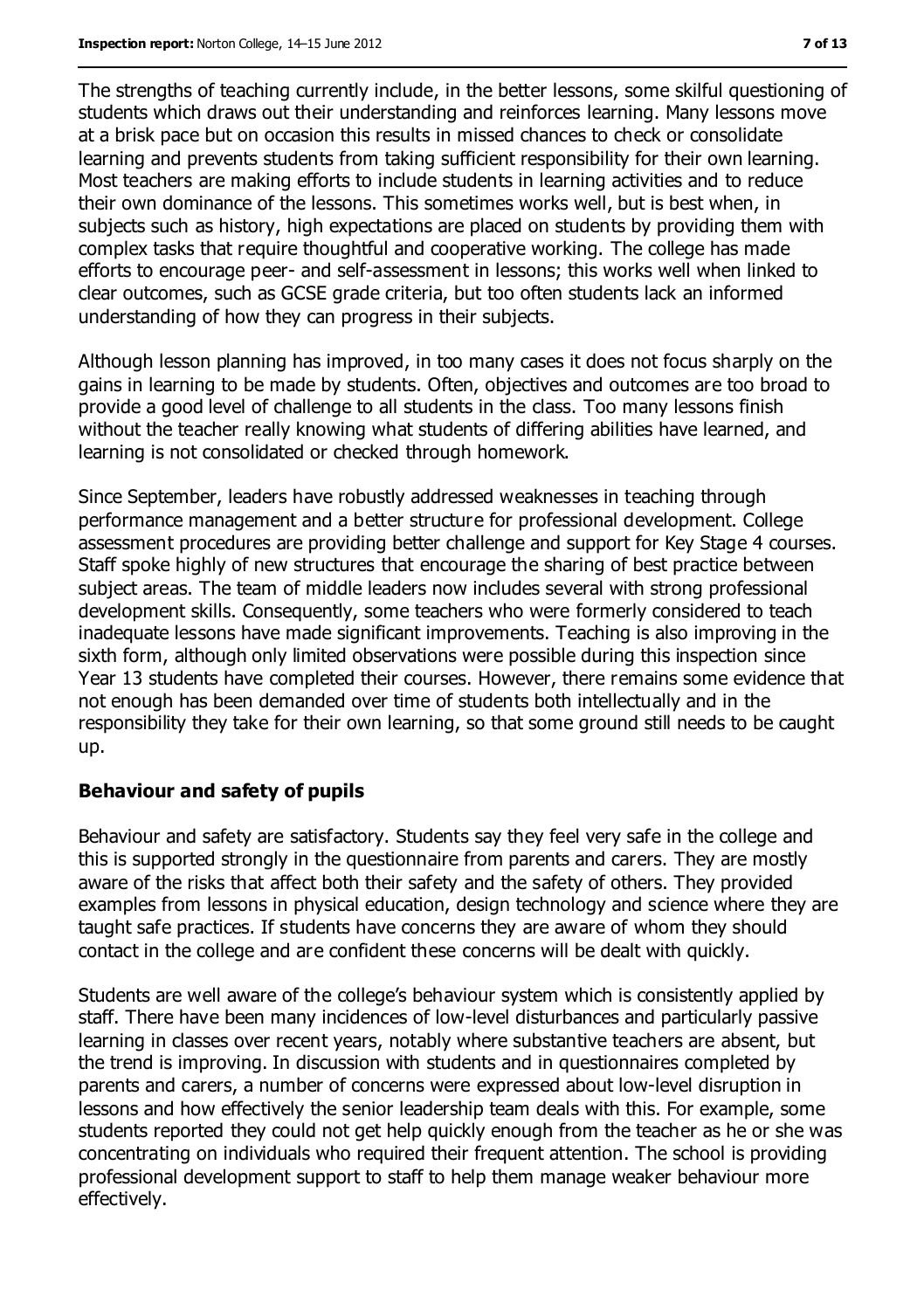The strengths of teaching currently include, in the better lessons, some skilful questioning of students which draws out their understanding and reinforces learning. Many lessons move at a brisk pace but on occasion this results in missed chances to check or consolidate learning and prevents students from taking sufficient responsibility for their own learning. Most teachers are making efforts to include students in learning activities and to reduce their own dominance of the lessons. This sometimes works well, but is best when, in subjects such as history, high expectations are placed on students by providing them with complex tasks that require thoughtful and cooperative working. The college has made efforts to encourage peer- and self-assessment in lessons; this works well when linked to clear outcomes, such as GCSE grade criteria, but too often students lack an informed understanding of how they can progress in their subjects.

Although lesson planning has improved, in too many cases it does not focus sharply on the gains in learning to be made by students. Often, objectives and outcomes are too broad to provide a good level of challenge to all students in the class. Too many lessons finish without the teacher really knowing what students of differing abilities have learned, and learning is not consolidated or checked through homework.

Since September, leaders have robustly addressed weaknesses in teaching through performance management and a better structure for professional development. College assessment procedures are providing better challenge and support for Key Stage 4 courses. Staff spoke highly of new structures that encourage the sharing of best practice between subject areas. The team of middle leaders now includes several with strong professional development skills. Consequently, some teachers who were formerly considered to teach inadequate lessons have made significant improvements. Teaching is also improving in the sixth form, although only limited observations were possible during this inspection since Year 13 students have completed their courses. However, there remains some evidence that not enough has been demanded over time of students both intellectually and in the responsibility they take for their own learning, so that some ground still needs to be caught up.

#### **Behaviour and safety of pupils**

Behaviour and safety are satisfactory. Students say they feel very safe in the college and this is supported strongly in the questionnaire from parents and carers. They are mostly aware of the risks that affect both their safety and the safety of others. They provided examples from lessons in physical education, design technology and science where they are taught safe practices. If students have concerns they are aware of whom they should contact in the college and are confident these concerns will be dealt with quickly.

Students are well aware of the college's behaviour system which is consistently applied by staff. There have been many incidences of low-level disturbances and particularly passive learning in classes over recent years, notably where substantive teachers are absent, but the trend is improving. In discussion with students and in questionnaires completed by parents and carers, a number of concerns were expressed about low-level disruption in lessons and how effectively the senior leadership team deals with this. For example, some students reported they could not get help quickly enough from the teacher as he or she was concentrating on individuals who required their frequent attention. The school is providing professional development support to staff to help them manage weaker behaviour more effectively.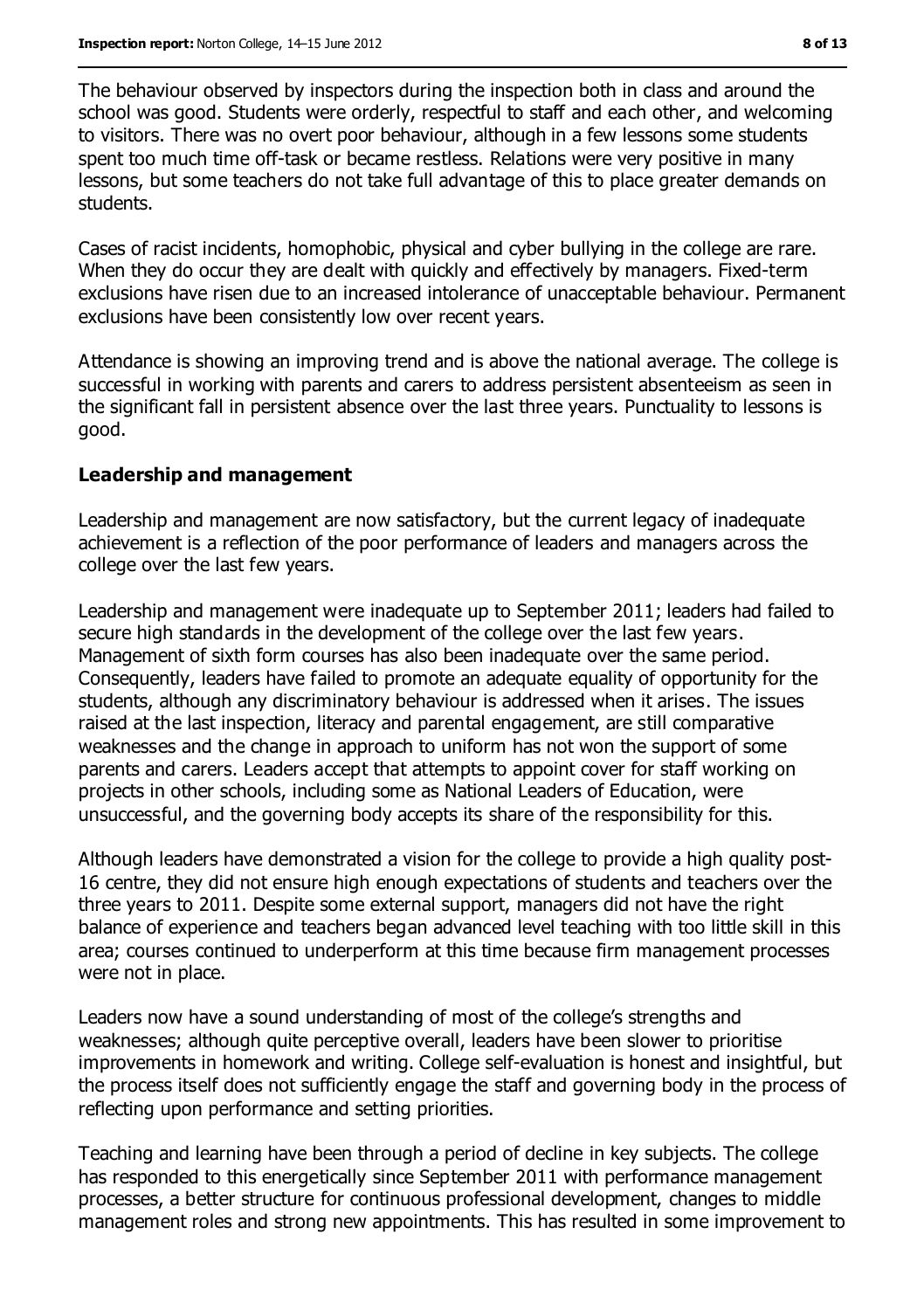The behaviour observed by inspectors during the inspection both in class and around the school was good. Students were orderly, respectful to staff and each other, and welcoming to visitors. There was no overt poor behaviour, although in a few lessons some students spent too much time off-task or became restless. Relations were very positive in many lessons, but some teachers do not take full advantage of this to place greater demands on students.

Cases of racist incidents, homophobic, physical and cyber bullying in the college are rare. When they do occur they are dealt with quickly and effectively by managers. Fixed-term exclusions have risen due to an increased intolerance of unacceptable behaviour. Permanent exclusions have been consistently low over recent years.

Attendance is showing an improving trend and is above the national average. The college is successful in working with parents and carers to address persistent absenteeism as seen in the significant fall in persistent absence over the last three years. Punctuality to lessons is good.

#### **Leadership and management**

Leadership and management are now satisfactory, but the current legacy of inadequate achievement is a reflection of the poor performance of leaders and managers across the college over the last few years.

Leadership and management were inadequate up to September 2011; leaders had failed to secure high standards in the development of the college over the last few years. Management of sixth form courses has also been inadequate over the same period. Consequently, leaders have failed to promote an adequate equality of opportunity for the students, although any discriminatory behaviour is addressed when it arises. The issues raised at the last inspection, literacy and parental engagement, are still comparative weaknesses and the change in approach to uniform has not won the support of some parents and carers. Leaders accept that attempts to appoint cover for staff working on projects in other schools, including some as National Leaders of Education, were unsuccessful, and the governing body accepts its share of the responsibility for this.

Although leaders have demonstrated a vision for the college to provide a high quality post-16 centre, they did not ensure high enough expectations of students and teachers over the three years to 2011. Despite some external support, managers did not have the right balance of experience and teachers began advanced level teaching with too little skill in this area; courses continued to underperform at this time because firm management processes were not in place.

Leaders now have a sound understanding of most of the college's strengths and weaknesses; although quite perceptive overall, leaders have been slower to prioritise improvements in homework and writing. College self-evaluation is honest and insightful, but the process itself does not sufficiently engage the staff and governing body in the process of reflecting upon performance and setting priorities.

Teaching and learning have been through a period of decline in key subjects. The college has responded to this energetically since September 2011 with performance management processes, a better structure for continuous professional development, changes to middle management roles and strong new appointments. This has resulted in some improvement to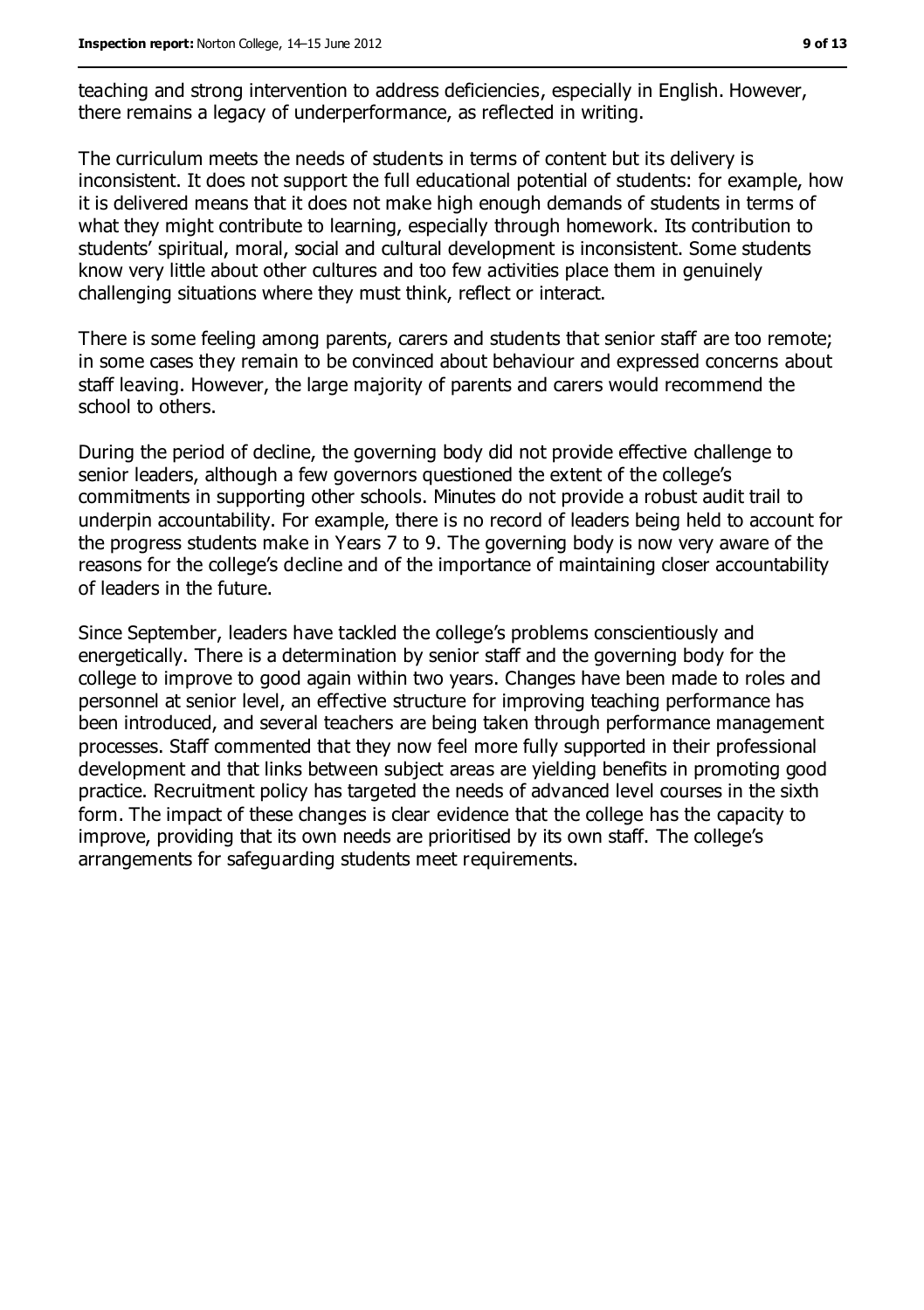teaching and strong intervention to address deficiencies, especially in English. However, there remains a legacy of underperformance, as reflected in writing.

The curriculum meets the needs of students in terms of content but its delivery is inconsistent. It does not support the full educational potential of students: for example, how it is delivered means that it does not make high enough demands of students in terms of what they might contribute to learning, especially through homework. Its contribution to students' spiritual, moral, social and cultural development is inconsistent. Some students know very little about other cultures and too few activities place them in genuinely challenging situations where they must think, reflect or interact.

There is some feeling among parents, carers and students that senior staff are too remote; in some cases they remain to be convinced about behaviour and expressed concerns about staff leaving. However, the large majority of parents and carers would recommend the school to others.

During the period of decline, the governing body did not provide effective challenge to senior leaders, although a few governors questioned the extent of the college's commitments in supporting other schools. Minutes do not provide a robust audit trail to underpin accountability. For example, there is no record of leaders being held to account for the progress students make in Years 7 to 9. The governing body is now very aware of the reasons for the college's decline and of the importance of maintaining closer accountability of leaders in the future.

Since September, leaders have tackled the college's problems conscientiously and energetically. There is a determination by senior staff and the governing body for the college to improve to good again within two years. Changes have been made to roles and personnel at senior level, an effective structure for improving teaching performance has been introduced, and several teachers are being taken through performance management processes. Staff commented that they now feel more fully supported in their professional development and that links between subject areas are yielding benefits in promoting good practice. Recruitment policy has targeted the needs of advanced level courses in the sixth form. The impact of these changes is clear evidence that the college has the capacity to improve, providing that its own needs are prioritised by its own staff. The college's arrangements for safeguarding students meet requirements.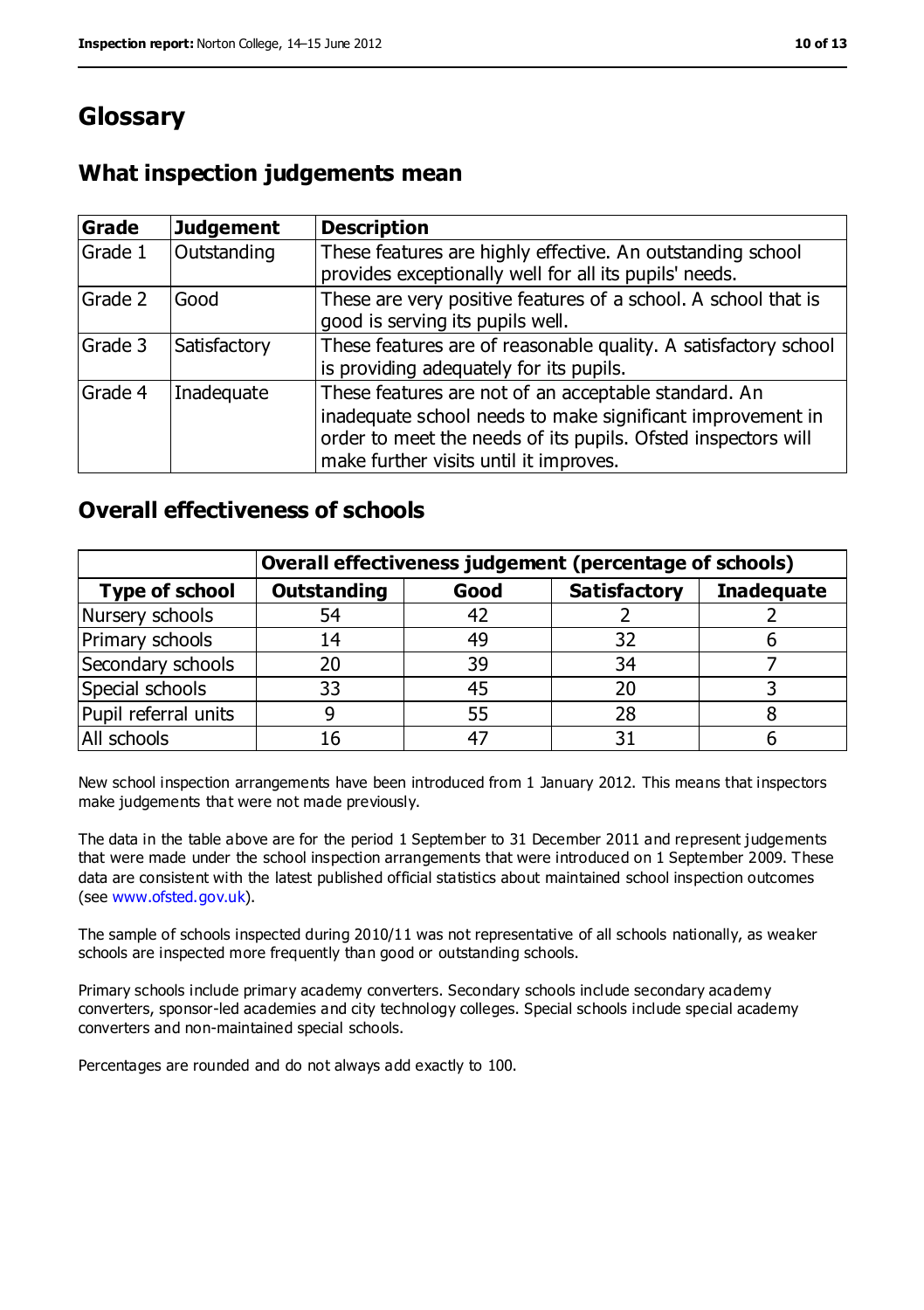## **Glossary**

## **What inspection judgements mean**

| Grade   | <b>Judgement</b> | <b>Description</b>                                                                                                                                                                                                            |
|---------|------------------|-------------------------------------------------------------------------------------------------------------------------------------------------------------------------------------------------------------------------------|
| Grade 1 | Outstanding      | These features are highly effective. An outstanding school<br>provides exceptionally well for all its pupils' needs.                                                                                                          |
| Grade 2 | Good             | These are very positive features of a school. A school that is<br>good is serving its pupils well.                                                                                                                            |
| Grade 3 | Satisfactory     | These features are of reasonable quality. A satisfactory school<br>is providing adequately for its pupils.                                                                                                                    |
| Grade 4 | Inadequate       | These features are not of an acceptable standard. An<br>inadequate school needs to make significant improvement in<br>order to meet the needs of its pupils. Ofsted inspectors will<br>make further visits until it improves. |

#### **Overall effectiveness of schools**

|                       | Overall effectiveness judgement (percentage of schools) |      |                     |                   |
|-----------------------|---------------------------------------------------------|------|---------------------|-------------------|
| <b>Type of school</b> | <b>Outstanding</b>                                      | Good | <b>Satisfactory</b> | <b>Inadequate</b> |
| Nursery schools       | 54                                                      | 42   |                     |                   |
| Primary schools       | 14                                                      | 49   | 32                  |                   |
| Secondary schools     | 20                                                      | 39   | 34                  |                   |
| Special schools       | 33                                                      | 45   | 20                  |                   |
| Pupil referral units  |                                                         | 55   | 28                  |                   |
| All schools           | 16                                                      | $-4$ |                     |                   |

New school inspection arrangements have been introduced from 1 January 2012. This means that inspectors make judgements that were not made previously.

The data in the table above are for the period 1 September to 31 December 2011 and represent judgements that were made under the school inspection arrangements that were introduced on 1 September 2009. These data are consistent with the latest published official statistics about maintained school inspection outcomes (see [www.ofsted.gov.uk\)](file:///C:/Users/agray/AppData/Local/Microsoft/Windows/Temporary%20Internet%20Files/Content.IE5/BMA2W0DI/www.ofsted.gov.uk).

The sample of schools inspected during 2010/11 was not representative of all schools nationally, as weaker schools are inspected more frequently than good or outstanding schools.

Primary schools include primary academy converters. Secondary schools include secondary academy converters, sponsor-led academies and city technology colleges. Special schools include special academy converters and non-maintained special schools.

Percentages are rounded and do not always add exactly to 100.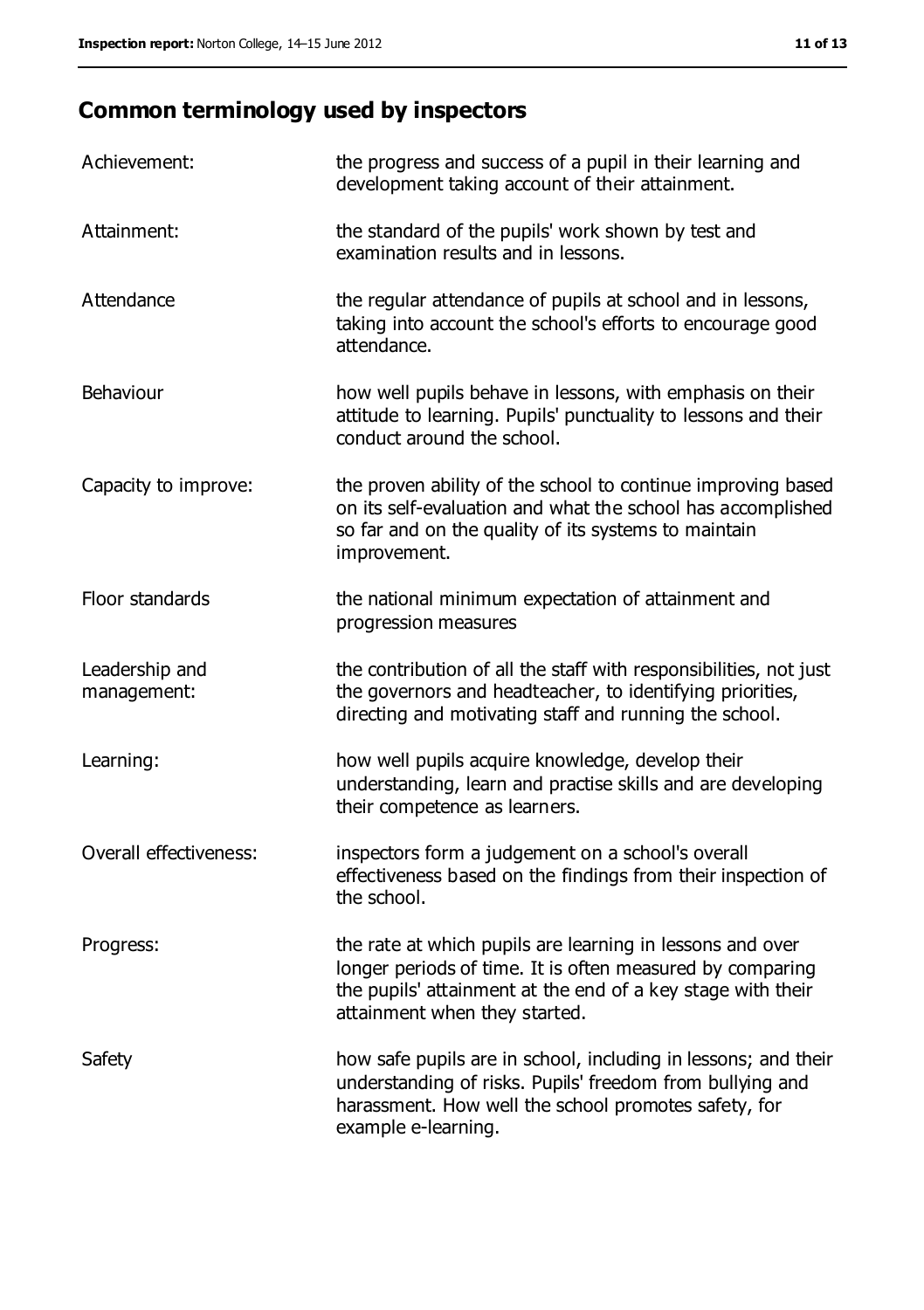## **Common terminology used by inspectors**

| Achievement:                  | the progress and success of a pupil in their learning and<br>development taking account of their attainment.                                                                                                           |
|-------------------------------|------------------------------------------------------------------------------------------------------------------------------------------------------------------------------------------------------------------------|
| Attainment:                   | the standard of the pupils' work shown by test and<br>examination results and in lessons.                                                                                                                              |
| Attendance                    | the regular attendance of pupils at school and in lessons,<br>taking into account the school's efforts to encourage good<br>attendance.                                                                                |
| Behaviour                     | how well pupils behave in lessons, with emphasis on their<br>attitude to learning. Pupils' punctuality to lessons and their<br>conduct around the school.                                                              |
| Capacity to improve:          | the proven ability of the school to continue improving based<br>on its self-evaluation and what the school has accomplished<br>so far and on the quality of its systems to maintain<br>improvement.                    |
| Floor standards               | the national minimum expectation of attainment and<br>progression measures                                                                                                                                             |
| Leadership and<br>management: | the contribution of all the staff with responsibilities, not just<br>the governors and headteacher, to identifying priorities,<br>directing and motivating staff and running the school.                               |
| Learning:                     | how well pupils acquire knowledge, develop their<br>understanding, learn and practise skills and are developing<br>their competence as learners.                                                                       |
| Overall effectiveness:        | inspectors form a judgement on a school's overall<br>effectiveness based on the findings from their inspection of<br>the school.                                                                                       |
| Progress:                     | the rate at which pupils are learning in lessons and over<br>longer periods of time. It is often measured by comparing<br>the pupils' attainment at the end of a key stage with their<br>attainment when they started. |
| Safety                        | how safe pupils are in school, including in lessons; and their<br>understanding of risks. Pupils' freedom from bullying and<br>harassment. How well the school promotes safety, for<br>example e-learning.             |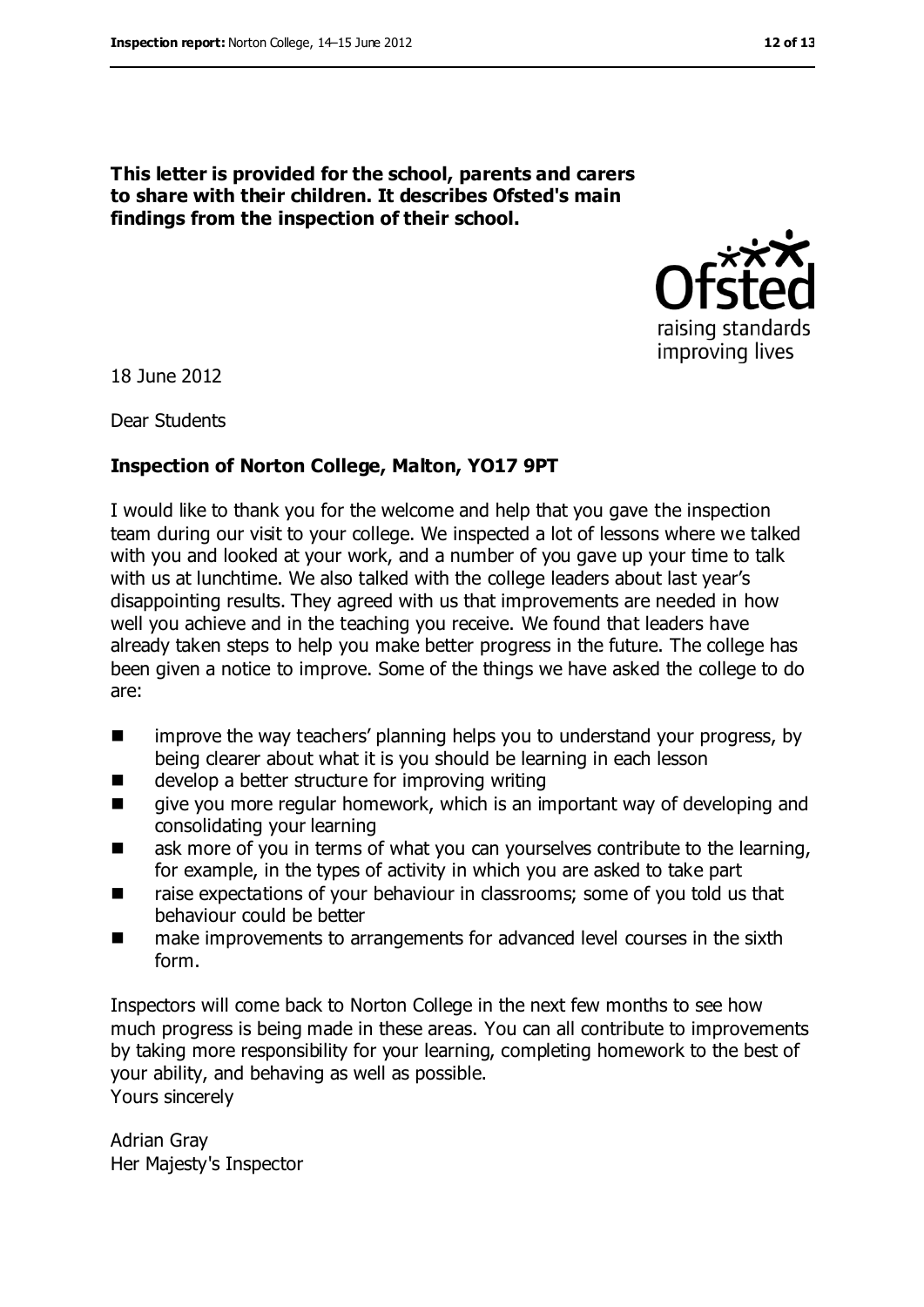# raising standards improving lives

18 June 2012

Dear Students

#### **Inspection of Norton College, Malton, YO17 9PT**

**This letter is provided for the school, parents and carers to share with their children. It describes Ofsted's main** 

**findings from the inspection of their school.**

I would like to thank you for the welcome and help that you gave the inspection team during our visit to your college. We inspected a lot of lessons where we talked with you and looked at your work, and a number of you gave up your time to talk with us at lunchtime. We also talked with the college leaders about last year's disappointing results. They agreed with us that improvements are needed in how well you achieve and in the teaching you receive. We found that leaders have already taken steps to help you make better progress in the future. The college has been given a notice to improve. Some of the things we have asked the college to do are:

- improve the way teachers' planning helps you to understand your progress, by being clearer about what it is you should be learning in each lesson
- $\blacksquare$  develop a better structure for improving writing
- **EXECT** give you more regular homework, which is an important way of developing and consolidating your learning
- **EXECT** ask more of you in terms of what you can yourselves contribute to the learning, for example, in the types of activity in which you are asked to take part
- raise expectations of your behaviour in classrooms; some of you told us that behaviour could be better
- make improvements to arrangements for advanced level courses in the sixth form.

Inspectors will come back to Norton College in the next few months to see how much progress is being made in these areas. You can all contribute to improvements by taking more responsibility for your learning, completing homework to the best of your ability, and behaving as well as possible. Yours sincerely

Adrian Gray Her Majesty's Inspector